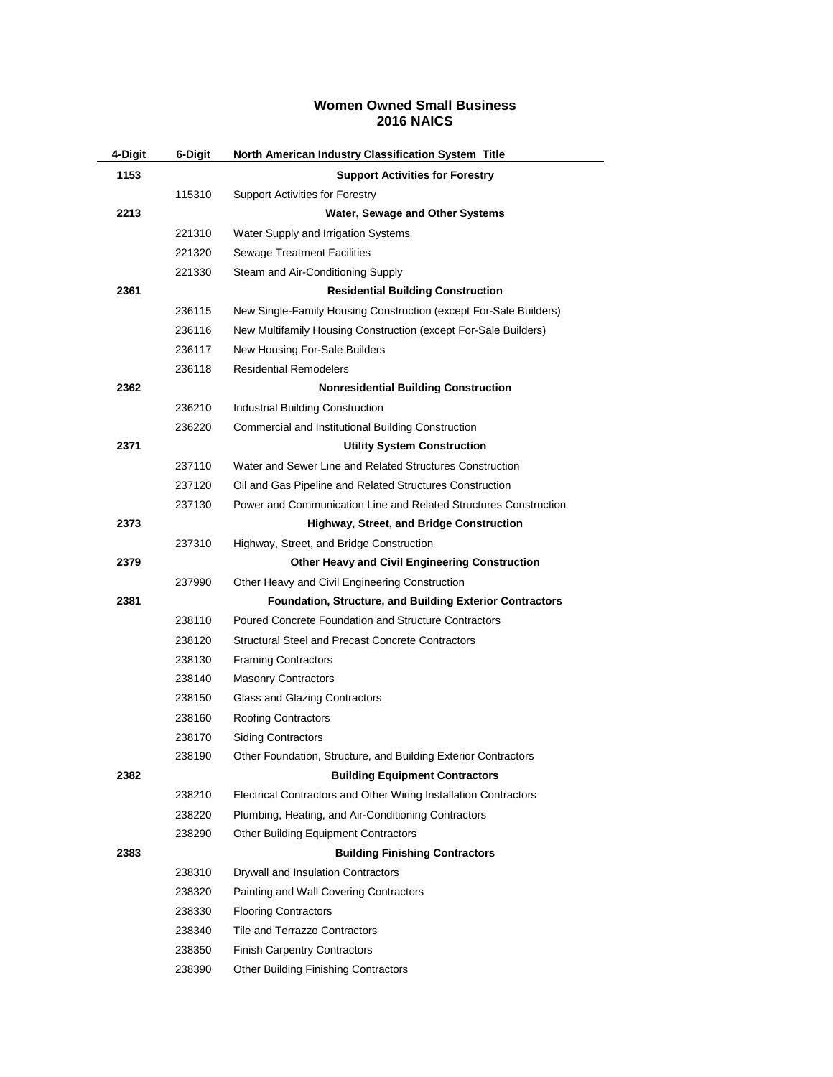## **Women Owned Small Business 2016 NAICS**

| 4-Digit | 6-Digit | North American Industry Classification System Title               |
|---------|---------|-------------------------------------------------------------------|
| 1153    |         | <b>Support Activities for Forestry</b>                            |
|         | 115310  | <b>Support Activities for Forestry</b>                            |
| 2213    |         | Water, Sewage and Other Systems                                   |
|         | 221310  | Water Supply and Irrigation Systems                               |
|         | 221320  | <b>Sewage Treatment Facilities</b>                                |
|         | 221330  | Steam and Air-Conditioning Supply                                 |
| 2361    |         | <b>Residential Building Construction</b>                          |
|         | 236115  | New Single-Family Housing Construction (except For-Sale Builders) |
|         | 236116  | New Multifamily Housing Construction (except For-Sale Builders)   |
|         | 236117  | New Housing For-Sale Builders                                     |
|         | 236118  | <b>Residential Remodelers</b>                                     |
| 2362    |         | <b>Nonresidential Building Construction</b>                       |
|         | 236210  | Industrial Building Construction                                  |
|         | 236220  | Commercial and Institutional Building Construction                |
| 2371    |         | <b>Utility System Construction</b>                                |
|         | 237110  | Water and Sewer Line and Related Structures Construction          |
|         | 237120  | Oil and Gas Pipeline and Related Structures Construction          |
|         | 237130  | Power and Communication Line and Related Structures Construction  |
| 2373    |         | <b>Highway, Street, and Bridge Construction</b>                   |
|         | 237310  | Highway, Street, and Bridge Construction                          |
| 2379    |         | <b>Other Heavy and Civil Engineering Construction</b>             |
|         | 237990  | Other Heavy and Civil Engineering Construction                    |
| 2381    |         | Foundation, Structure, and Building Exterior Contractors          |
|         | 238110  | Poured Concrete Foundation and Structure Contractors              |
|         | 238120  | <b>Structural Steel and Precast Concrete Contractors</b>          |
|         | 238130  | <b>Framing Contractors</b>                                        |
|         | 238140  | <b>Masonry Contractors</b>                                        |
|         | 238150  | Glass and Glazing Contractors                                     |
|         | 238160  | <b>Roofing Contractors</b>                                        |
|         | 238170  | <b>Siding Contractors</b>                                         |
|         | 238190  | Other Foundation, Structure, and Building Exterior Contractors    |
| 2382    |         | <b>Building Equipment Contractors</b>                             |
|         | 238210  | Electrical Contractors and Other Wiring Installation Contractors  |
|         | 238220  | Plumbing, Heating, and Air-Conditioning Contractors               |
|         | 238290  | <b>Other Building Equipment Contractors</b>                       |
| 2383    |         | <b>Building Finishing Contractors</b>                             |
|         | 238310  | Drywall and Insulation Contractors                                |
|         | 238320  | Painting and Wall Covering Contractors                            |
|         | 238330  | <b>Flooring Contractors</b>                                       |
|         | 238340  | <b>Tile and Terrazzo Contractors</b>                              |
|         | 238350  | <b>Finish Carpentry Contractors</b>                               |
|         | 238390  | <b>Other Building Finishing Contractors</b>                       |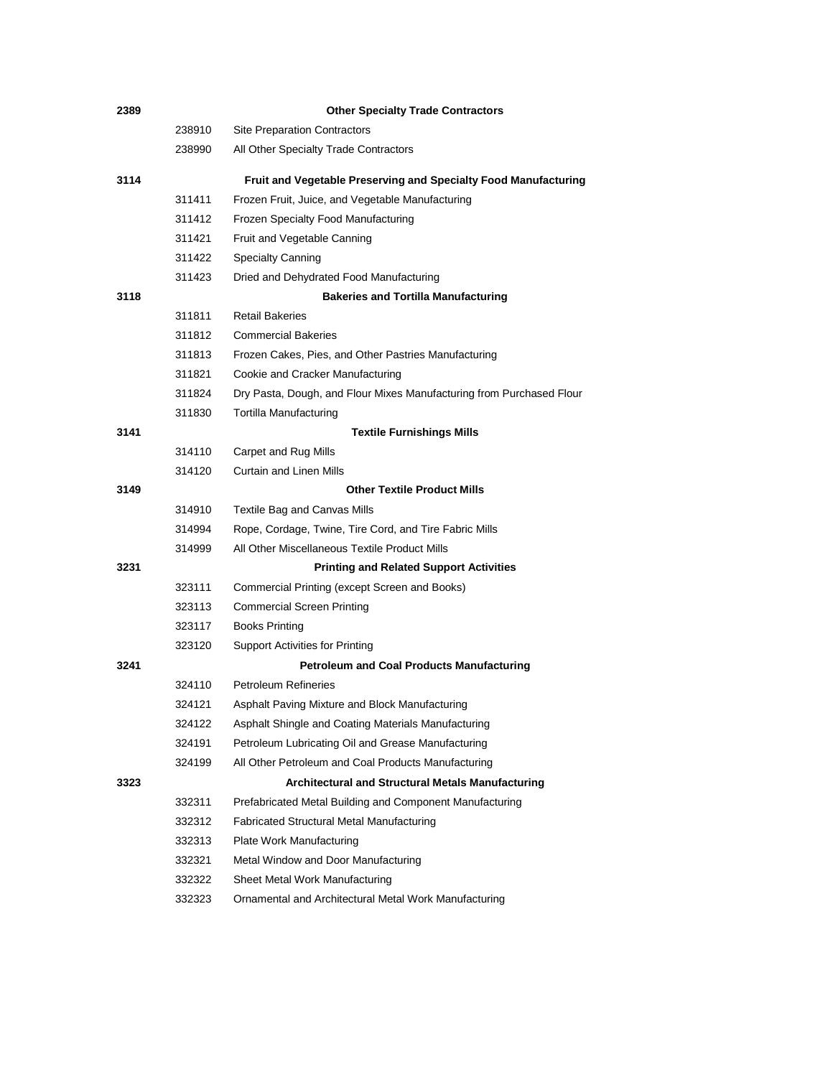| 2389 |        | <b>Other Specialty Trade Contractors</b>                             |
|------|--------|----------------------------------------------------------------------|
|      | 238910 | <b>Site Preparation Contractors</b>                                  |
|      | 238990 | All Other Specialty Trade Contractors                                |
| 3114 |        | Fruit and Vegetable Preserving and Specialty Food Manufacturing      |
|      | 311411 | Frozen Fruit, Juice, and Vegetable Manufacturing                     |
|      | 311412 | Frozen Specialty Food Manufacturing                                  |
|      | 311421 | Fruit and Vegetable Canning                                          |
|      | 311422 | <b>Specialty Canning</b>                                             |
|      | 311423 | Dried and Dehydrated Food Manufacturing                              |
| 3118 |        | <b>Bakeries and Tortilla Manufacturing</b>                           |
|      | 311811 | <b>Retail Bakeries</b>                                               |
|      | 311812 | <b>Commercial Bakeries</b>                                           |
|      | 311813 | Frozen Cakes, Pies, and Other Pastries Manufacturing                 |
|      | 311821 | Cookie and Cracker Manufacturing                                     |
|      | 311824 | Dry Pasta, Dough, and Flour Mixes Manufacturing from Purchased Flour |
|      | 311830 | <b>Tortilla Manufacturing</b>                                        |
| 3141 |        | <b>Textile Furnishings Mills</b>                                     |
|      | 314110 | Carpet and Rug Mills                                                 |
|      | 314120 | <b>Curtain and Linen Mills</b>                                       |
| 3149 |        | <b>Other Textile Product Mills</b>                                   |
|      | 314910 | Textile Bag and Canvas Mills                                         |
|      | 314994 | Rope, Cordage, Twine, Tire Cord, and Tire Fabric Mills               |
|      | 314999 | All Other Miscellaneous Textile Product Mills                        |
| 3231 |        | <b>Printing and Related Support Activities</b>                       |
|      | 323111 | Commercial Printing (except Screen and Books)                        |
|      | 323113 | <b>Commercial Screen Printing</b>                                    |
|      | 323117 | <b>Books Printing</b>                                                |
|      | 323120 | <b>Support Activities for Printing</b>                               |
| 3241 |        | <b>Petroleum and Coal Products Manufacturing</b>                     |
|      | 324110 | <b>Petroleum Refineries</b>                                          |
|      | 324121 | Asphalt Paving Mixture and Block Manufacturing                       |
|      | 324122 | Asphalt Shingle and Coating Materials Manufacturing                  |
|      | 324191 | Petroleum Lubricating Oil and Grease Manufacturing                   |
|      | 324199 | All Other Petroleum and Coal Products Manufacturing                  |
| 3323 |        | Architectural and Structural Metals Manufacturing                    |
|      | 332311 | Prefabricated Metal Building and Component Manufacturing             |
|      | 332312 | <b>Fabricated Structural Metal Manufacturing</b>                     |
|      | 332313 | Plate Work Manufacturing                                             |
|      | 332321 | Metal Window and Door Manufacturing                                  |
|      | 332322 | Sheet Metal Work Manufacturing                                       |
|      | 332323 | Ornamental and Architectural Metal Work Manufacturing                |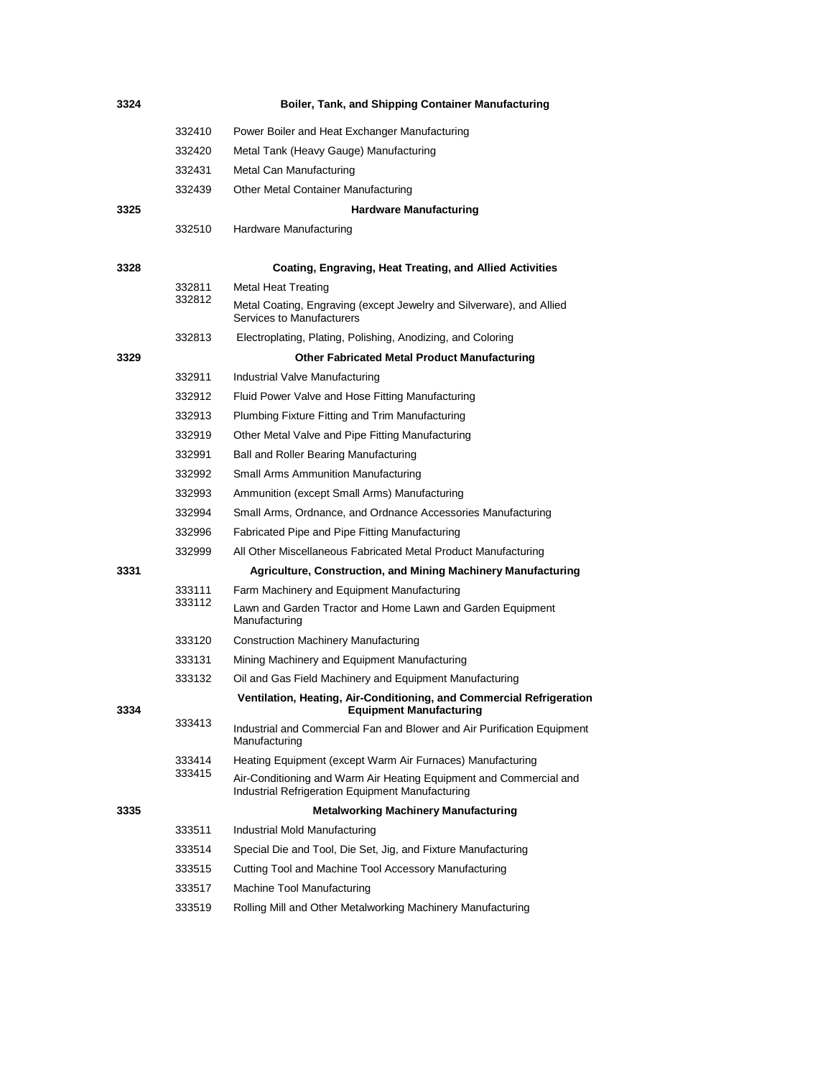| 3324 |        | Boiler, Tank, and Shipping Container Manufacturing                                                                     |
|------|--------|------------------------------------------------------------------------------------------------------------------------|
|      | 332410 | Power Boiler and Heat Exchanger Manufacturing                                                                          |
|      | 332420 | Metal Tank (Heavy Gauge) Manufacturing                                                                                 |
|      | 332431 | Metal Can Manufacturing                                                                                                |
|      | 332439 | Other Metal Container Manufacturing                                                                                    |
| 3325 |        | <b>Hardware Manufacturing</b>                                                                                          |
|      | 332510 | Hardware Manufacturing                                                                                                 |
| 3328 |        | Coating, Engraving, Heat Treating, and Allied Activities                                                               |
|      | 332811 | Metal Heat Treating                                                                                                    |
|      | 332812 | Metal Coating, Engraving (except Jewelry and Silverware), and Allied<br>Services to Manufacturers                      |
|      | 332813 | Electroplating, Plating, Polishing, Anodizing, and Coloring                                                            |
| 3329 |        | <b>Other Fabricated Metal Product Manufacturing</b>                                                                    |
|      | 332911 | Industrial Valve Manufacturing                                                                                         |
|      | 332912 | Fluid Power Valve and Hose Fitting Manufacturing                                                                       |
|      | 332913 | Plumbing Fixture Fitting and Trim Manufacturing                                                                        |
|      | 332919 | Other Metal Valve and Pipe Fitting Manufacturing                                                                       |
|      | 332991 | Ball and Roller Bearing Manufacturing                                                                                  |
|      | 332992 | Small Arms Ammunition Manufacturing                                                                                    |
|      | 332993 | Ammunition (except Small Arms) Manufacturing                                                                           |
|      | 332994 | Small Arms, Ordnance, and Ordnance Accessories Manufacturing                                                           |
|      | 332996 | Fabricated Pipe and Pipe Fitting Manufacturing                                                                         |
|      | 332999 | All Other Miscellaneous Fabricated Metal Product Manufacturing                                                         |
| 3331 |        | <b>Agriculture, Construction, and Mining Machinery Manufacturing</b>                                                   |
|      | 333111 | Farm Machinery and Equipment Manufacturing                                                                             |
|      | 333112 | Lawn and Garden Tractor and Home Lawn and Garden Equipment<br>Manufacturing                                            |
|      | 333120 | <b>Construction Machinery Manufacturing</b>                                                                            |
|      | 333131 | Mining Machinery and Equipment Manufacturing                                                                           |
|      | 333132 | Oil and Gas Field Machinery and Equipment Manufacturing                                                                |
| 3334 |        | Ventilation, Heating, Air-Conditioning, and Commercial Refrigeration<br><b>Equipment Manufacturing</b>                 |
|      | 333413 | Industrial and Commercial Fan and Blower and Air Purification Equipment<br>Manufacturing                               |
|      | 333414 | Heating Equipment (except Warm Air Furnaces) Manufacturing                                                             |
|      | 333415 | Air-Conditioning and Warm Air Heating Equipment and Commercial and<br>Industrial Refrigeration Equipment Manufacturing |
| 3335 |        | <b>Metalworking Machinery Manufacturing</b>                                                                            |
|      | 333511 | Industrial Mold Manufacturing                                                                                          |
|      | 333514 | Special Die and Tool, Die Set, Jig, and Fixture Manufacturing                                                          |
|      | 333515 | Cutting Tool and Machine Tool Accessory Manufacturing                                                                  |
|      | 333517 | Machine Tool Manufacturing                                                                                             |
|      | 333519 | Rolling Mill and Other Metalworking Machinery Manufacturing                                                            |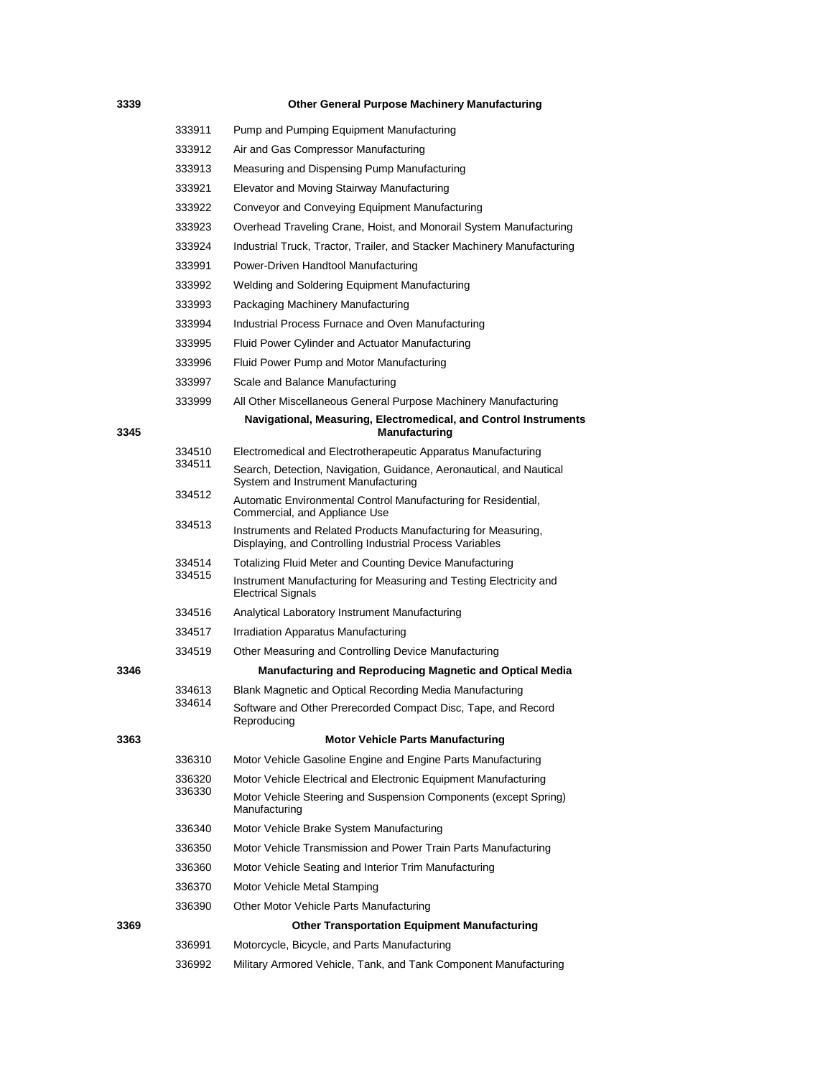## **Other General Purpose Machinery Manufacturing**

|      | 333911 | Pump and Pumping Equipment Manufacturing                                                                                  |
|------|--------|---------------------------------------------------------------------------------------------------------------------------|
|      | 333912 | Air and Gas Compressor Manufacturing                                                                                      |
|      | 333913 | Measuring and Dispensing Pump Manufacturing                                                                               |
|      | 333921 | Elevator and Moving Stairway Manufacturing                                                                                |
|      | 333922 | Conveyor and Conveying Equipment Manufacturing                                                                            |
|      | 333923 | Overhead Traveling Crane, Hoist, and Monorail System Manufacturing                                                        |
|      | 333924 | Industrial Truck, Tractor, Trailer, and Stacker Machinery Manufacturing                                                   |
|      | 333991 | Power-Driven Handtool Manufacturing                                                                                       |
|      | 333992 | Welding and Soldering Equipment Manufacturing                                                                             |
|      | 333993 | Packaging Machinery Manufacturing                                                                                         |
|      | 333994 | Industrial Process Furnace and Oven Manufacturing                                                                         |
|      | 333995 | Fluid Power Cylinder and Actuator Manufacturing                                                                           |
|      | 333996 | Fluid Power Pump and Motor Manufacturing                                                                                  |
|      | 333997 | Scale and Balance Manufacturing                                                                                           |
|      | 333999 | All Other Miscellaneous General Purpose Machinery Manufacturing                                                           |
| 3345 |        | Navigational, Measuring, Electromedical, and Control Instruments<br>Manufacturing                                         |
|      | 334510 | Electromedical and Electrotherapeutic Apparatus Manufacturing                                                             |
|      | 334511 | Search, Detection, Navigation, Guidance, Aeronautical, and Nautical<br>System and Instrument Manufacturing                |
|      | 334512 | Automatic Environmental Control Manufacturing for Residential,<br>Commercial, and Appliance Use                           |
|      | 334513 | Instruments and Related Products Manufacturing for Measuring,<br>Displaying, and Controlling Industrial Process Variables |
|      | 334514 | Totalizing Fluid Meter and Counting Device Manufacturing                                                                  |
|      | 334515 | Instrument Manufacturing for Measuring and Testing Electricity and<br><b>Electrical Signals</b>                           |
|      | 334516 | Analytical Laboratory Instrument Manufacturing                                                                            |
|      | 334517 | Irradiation Apparatus Manufacturing                                                                                       |
|      | 334519 | Other Measuring and Controlling Device Manufacturing                                                                      |
| 3346 |        | <b>Manufacturing and Reproducing Magnetic and Optical Media</b>                                                           |
|      | 334613 | Blank Magnetic and Optical Recording Media Manufacturing                                                                  |
|      | 334614 | Software and Other Prerecorded Compact Disc, Tape, and Record<br>Reproducing                                              |
| 3363 |        | <b>Motor Vehicle Parts Manufacturing</b>                                                                                  |
|      | 336310 | Motor Vehicle Gasoline Engine and Engine Parts Manufacturing                                                              |
|      | 336320 | Motor Vehicle Electrical and Electronic Equipment Manufacturing                                                           |
|      | 336330 | Motor Vehicle Steering and Suspension Components (except Spring)<br>Manufacturing                                         |
|      | 336340 | Motor Vehicle Brake System Manufacturing                                                                                  |
|      | 336350 | Motor Vehicle Transmission and Power Train Parts Manufacturing                                                            |
|      | 336360 | Motor Vehicle Seating and Interior Trim Manufacturing                                                                     |
|      | 336370 | Motor Vehicle Metal Stamping                                                                                              |
|      | 336390 | Other Motor Vehicle Parts Manufacturing                                                                                   |
| 3369 |        | <b>Other Transportation Equipment Manufacturing</b>                                                                       |
|      | 336991 | Motorcycle, Bicycle, and Parts Manufacturing                                                                              |
|      | 336992 | Military Armored Vehicle, Tank, and Tank Component Manufacturing                                                          |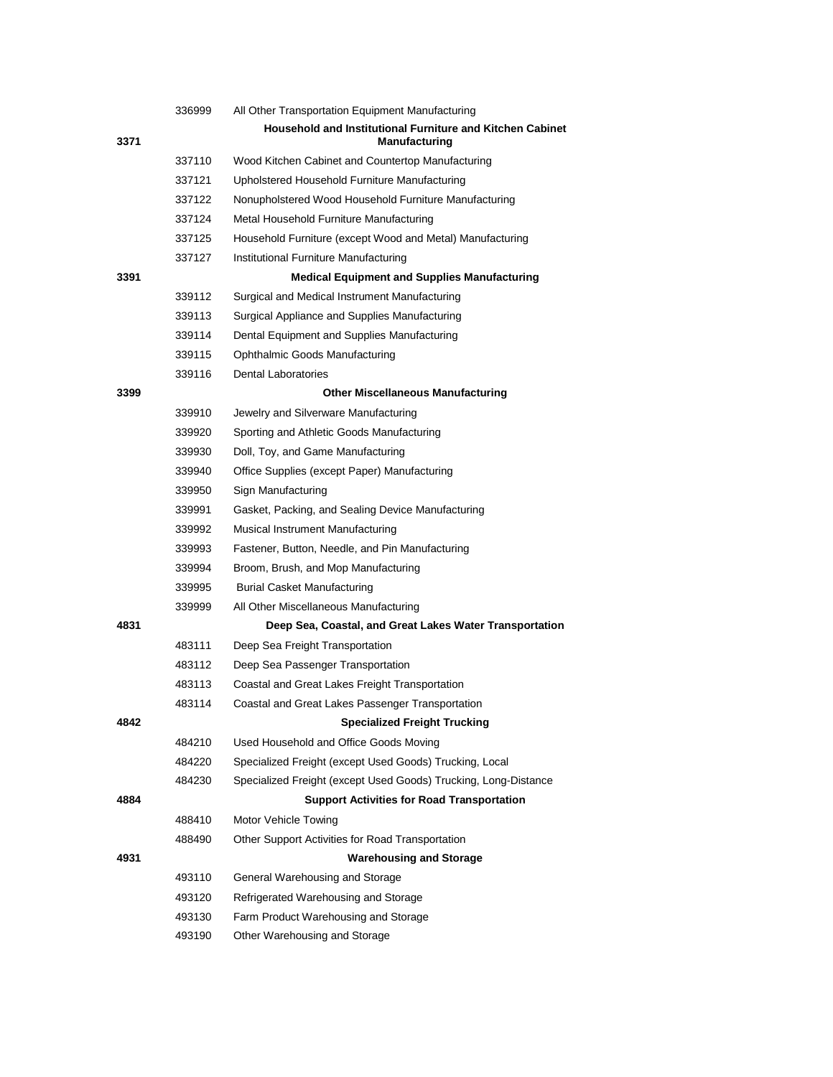|      | 336999 | All Other Transportation Equipment Manufacturing                                  |
|------|--------|-----------------------------------------------------------------------------------|
| 3371 |        | Household and Institutional Furniture and Kitchen Cabinet<br><b>Manufacturing</b> |
|      | 337110 | Wood Kitchen Cabinet and Countertop Manufacturing                                 |
|      | 337121 | Upholstered Household Furniture Manufacturing                                     |
|      | 337122 | Nonupholstered Wood Household Furniture Manufacturing                             |
|      | 337124 | Metal Household Furniture Manufacturing                                           |
|      | 337125 | Household Furniture (except Wood and Metal) Manufacturing                         |
|      | 337127 | Institutional Furniture Manufacturing                                             |
| 3391 |        | <b>Medical Equipment and Supplies Manufacturing</b>                               |
|      | 339112 | Surgical and Medical Instrument Manufacturing                                     |
|      | 339113 | Surgical Appliance and Supplies Manufacturing                                     |
|      | 339114 | Dental Equipment and Supplies Manufacturing                                       |
|      | 339115 | Ophthalmic Goods Manufacturing                                                    |
|      | 339116 | <b>Dental Laboratories</b>                                                        |
| 3399 |        | <b>Other Miscellaneous Manufacturing</b>                                          |
|      | 339910 | Jewelry and Silverware Manufacturing                                              |
|      | 339920 | Sporting and Athletic Goods Manufacturing                                         |
|      | 339930 | Doll, Toy, and Game Manufacturing                                                 |
|      | 339940 | Office Supplies (except Paper) Manufacturing                                      |
|      | 339950 | Sign Manufacturing                                                                |
|      | 339991 | Gasket, Packing, and Sealing Device Manufacturing                                 |
|      | 339992 | Musical Instrument Manufacturing                                                  |
|      | 339993 | Fastener, Button, Needle, and Pin Manufacturing                                   |
|      | 339994 | Broom, Brush, and Mop Manufacturing                                               |
|      | 339995 | <b>Burial Casket Manufacturing</b>                                                |
|      | 339999 | All Other Miscellaneous Manufacturing                                             |
| 4831 |        | Deep Sea, Coastal, and Great Lakes Water Transportation                           |
|      | 483111 | Deep Sea Freight Transportation                                                   |
|      | 483112 | Deep Sea Passenger Transportation                                                 |
|      | 483113 | Coastal and Great Lakes Freight Transportation                                    |
|      | 483114 | Coastal and Great Lakes Passenger Transportation                                  |
| 4842 |        | <b>Specialized Freight Trucking</b>                                               |
|      | 484210 | Used Household and Office Goods Moving                                            |
|      | 484220 | Specialized Freight (except Used Goods) Trucking, Local                           |
|      | 484230 | Specialized Freight (except Used Goods) Trucking, Long-Distance                   |
| 4884 |        | <b>Support Activities for Road Transportation</b>                                 |
|      | 488410 | Motor Vehicle Towing                                                              |
|      | 488490 | Other Support Activities for Road Transportation                                  |
| 4931 |        | <b>Warehousing and Storage</b>                                                    |
|      | 493110 | General Warehousing and Storage                                                   |
|      | 493120 | Refrigerated Warehousing and Storage                                              |
|      | 493130 | Farm Product Warehousing and Storage                                              |
|      | 493190 | Other Warehousing and Storage                                                     |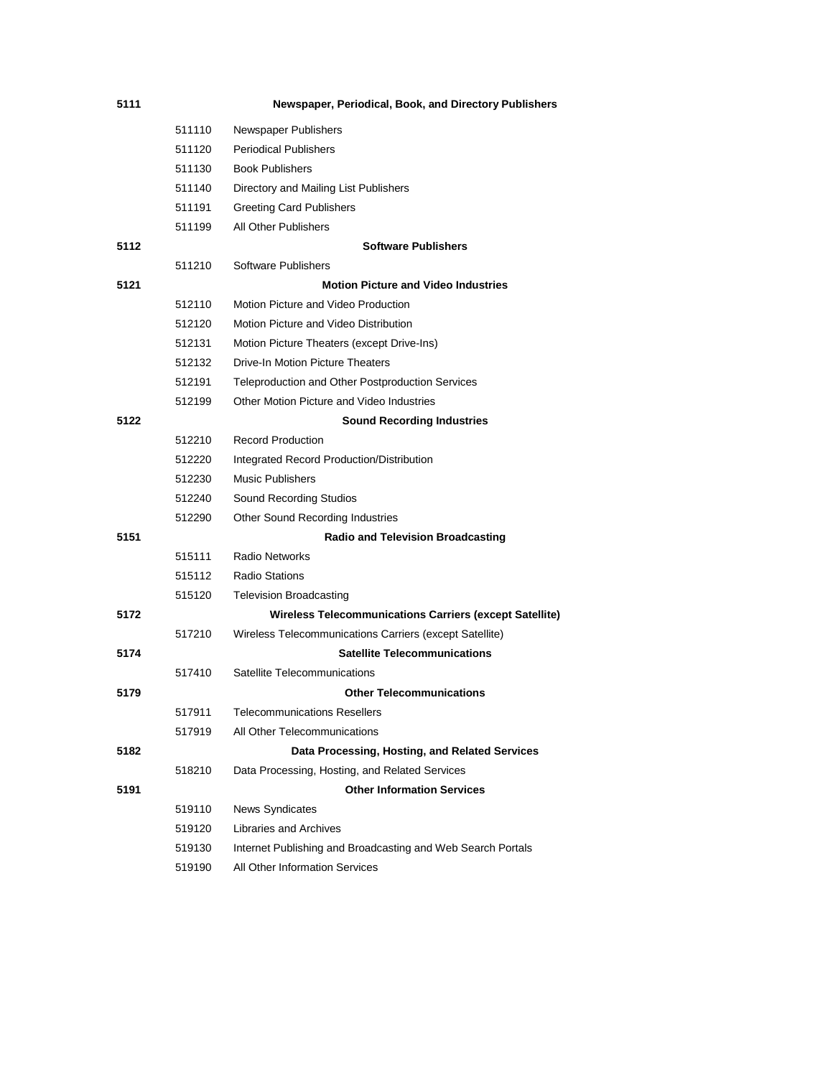| 5111 |        | Newspaper, Periodical, Book, and Directory Publishers          |
|------|--------|----------------------------------------------------------------|
|      | 511110 | <b>Newspaper Publishers</b>                                    |
|      | 511120 | <b>Periodical Publishers</b>                                   |
|      | 511130 | <b>Book Publishers</b>                                         |
|      | 511140 | Directory and Mailing List Publishers                          |
|      | 511191 | <b>Greeting Card Publishers</b>                                |
|      | 511199 | All Other Publishers                                           |
| 5112 |        | <b>Software Publishers</b>                                     |
|      | 511210 | Software Publishers                                            |
| 5121 |        | <b>Motion Picture and Video Industries</b>                     |
|      | 512110 | Motion Picture and Video Production                            |
|      | 512120 | Motion Picture and Video Distribution                          |
|      | 512131 | Motion Picture Theaters (except Drive-Ins)                     |
|      | 512132 | Drive-In Motion Picture Theaters                               |
|      | 512191 | Teleproduction and Other Postproduction Services               |
|      | 512199 | Other Motion Picture and Video Industries                      |
| 5122 |        | <b>Sound Recording Industries</b>                              |
|      | 512210 | Record Production                                              |
|      | 512220 | Integrated Record Production/Distribution                      |
|      | 512230 | <b>Music Publishers</b>                                        |
|      | 512240 | Sound Recording Studios                                        |
|      | 512290 | Other Sound Recording Industries                               |
| 5151 |        | <b>Radio and Television Broadcasting</b>                       |
|      | 515111 | <b>Radio Networks</b>                                          |
|      | 515112 | <b>Radio Stations</b>                                          |
|      | 515120 | <b>Television Broadcasting</b>                                 |
| 5172 |        | <b>Wireless Telecommunications Carriers (except Satellite)</b> |
|      | 517210 | Wireless Telecommunications Carriers (except Satellite)        |
| 5174 |        | <b>Satellite Telecommunications</b>                            |
|      | 517410 | Satellite Telecommunications                                   |
| 5179 |        | <b>Other Telecommunications</b>                                |
|      | 517911 | <b>Telecommunications Resellers</b>                            |
|      | 517919 | All Other Telecommunications                                   |
| 5182 |        | Data Processing, Hosting, and Related Services                 |
|      | 518210 | Data Processing, Hosting, and Related Services                 |
| 5191 |        | <b>Other Information Services</b>                              |
|      | 519110 | News Syndicates                                                |
|      | 519120 | Libraries and Archives                                         |
|      | 519130 | Internet Publishing and Broadcasting and Web Search Portals    |
|      | 519190 | All Other Information Services                                 |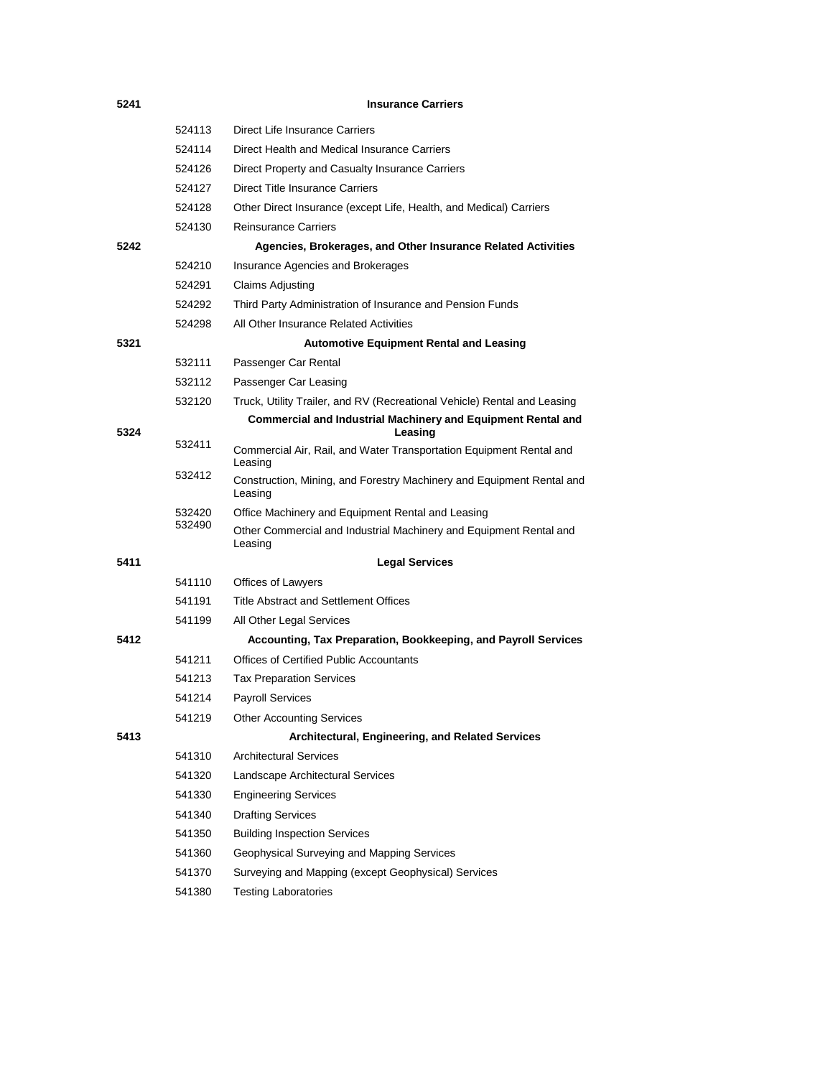| 5241 |                  | <b>Insurance Carriers</b>                                                        |
|------|------------------|----------------------------------------------------------------------------------|
|      | 524113           | Direct Life Insurance Carriers                                                   |
|      | 524114           | Direct Health and Medical Insurance Carriers                                     |
|      | 524126           | Direct Property and Casualty Insurance Carriers                                  |
|      | 524127           | <b>Direct Title Insurance Carriers</b>                                           |
|      | 524128           | Other Direct Insurance (except Life, Health, and Medical) Carriers               |
|      | 524130           | <b>Reinsurance Carriers</b>                                                      |
| 5242 |                  | Agencies, Brokerages, and Other Insurance Related Activities                     |
|      | 524210           | Insurance Agencies and Brokerages                                                |
|      | 524291           | Claims Adjusting                                                                 |
|      | 524292           | Third Party Administration of Insurance and Pension Funds                        |
|      | 524298           | All Other Insurance Related Activities                                           |
| 5321 |                  | <b>Automotive Equipment Rental and Leasing</b>                                   |
|      | 532111           | Passenger Car Rental                                                             |
|      | 532112           | Passenger Car Leasing                                                            |
|      | 532120           | Truck, Utility Trailer, and RV (Recreational Vehicle) Rental and Leasing         |
| 5324 |                  | <b>Commercial and Industrial Machinery and Equipment Rental and</b><br>Leasing   |
|      | 532411           | Commercial Air, Rail, and Water Transportation Equipment Rental and              |
|      |                  | Leasing                                                                          |
|      | 532412           | Construction, Mining, and Forestry Machinery and Equipment Rental and<br>Leasing |
|      | 532420<br>532490 | Office Machinery and Equipment Rental and Leasing                                |
|      |                  | Other Commercial and Industrial Machinery and Equipment Rental and<br>Leasing    |
| 5411 |                  | <b>Legal Services</b>                                                            |
|      | 541110           | Offices of Lawyers                                                               |
|      | 541191           | <b>Title Abstract and Settlement Offices</b>                                     |
|      | 541199           | All Other Legal Services                                                         |
| 5412 |                  | Accounting, Tax Preparation, Bookkeeping, and Payroll Services                   |
|      | 541211           | Offices of Certified Public Accountants                                          |
|      | 541213           | <b>Tax Preparation Services</b>                                                  |
|      | 541214           | <b>Pavroll Services</b>                                                          |
|      | 541219           | <b>Other Accounting Services</b>                                                 |
| 5413 |                  | Architectural, Engineering, and Related Services                                 |
|      | 541310           | <b>Architectural Services</b>                                                    |
|      | 541320           | Landscape Architectural Services                                                 |
|      | 541330           | <b>Engineering Services</b>                                                      |
|      | 541340           | <b>Drafting Services</b>                                                         |
|      | 541350           | <b>Building Inspection Services</b>                                              |
|      | 541360           | Geophysical Surveying and Mapping Services                                       |
|      | 541370           | Surveying and Mapping (except Geophysical) Services                              |
|      | 541380           | <b>Testing Laboratories</b>                                                      |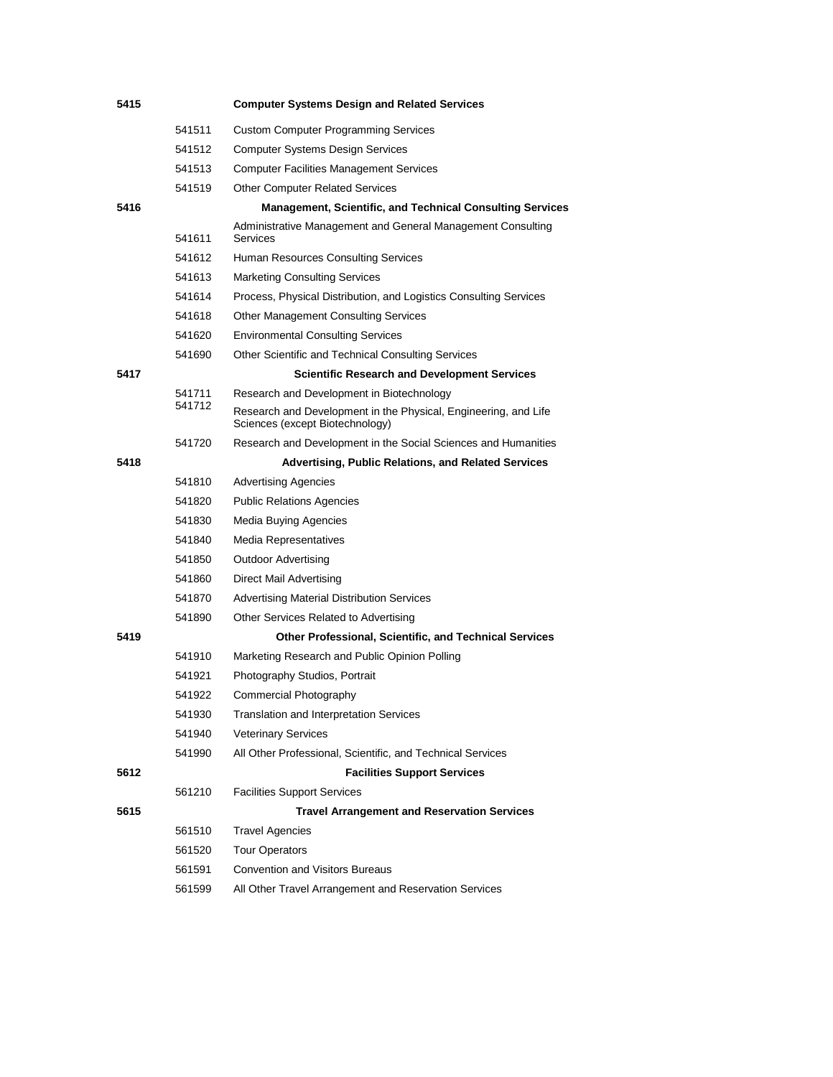| 5415 |        | <b>Computer Systems Design and Related Services</b>                                                |
|------|--------|----------------------------------------------------------------------------------------------------|
|      | 541511 | <b>Custom Computer Programming Services</b>                                                        |
|      | 541512 | <b>Computer Systems Design Services</b>                                                            |
|      | 541513 | <b>Computer Facilities Management Services</b>                                                     |
|      | 541519 | <b>Other Computer Related Services</b>                                                             |
| 5416 |        | <b>Management, Scientific, and Technical Consulting Services</b>                                   |
|      | 541611 | Administrative Management and General Management Consulting<br>Services                            |
|      | 541612 | Human Resources Consulting Services                                                                |
|      | 541613 | <b>Marketing Consulting Services</b>                                                               |
|      | 541614 | Process, Physical Distribution, and Logistics Consulting Services                                  |
|      | 541618 | <b>Other Management Consulting Services</b>                                                        |
|      | 541620 | <b>Environmental Consulting Services</b>                                                           |
|      | 541690 | Other Scientific and Technical Consulting Services                                                 |
| 5417 |        | <b>Scientific Research and Development Services</b>                                                |
|      | 541711 | Research and Development in Biotechnology                                                          |
|      | 541712 | Research and Development in the Physical, Engineering, and Life<br>Sciences (except Biotechnology) |
|      | 541720 | Research and Development in the Social Sciences and Humanities                                     |
| 5418 |        | <b>Advertising, Public Relations, and Related Services</b>                                         |
|      | 541810 | <b>Advertising Agencies</b>                                                                        |
|      | 541820 | <b>Public Relations Agencies</b>                                                                   |
|      | 541830 | Media Buying Agencies                                                                              |
|      | 541840 | Media Representatives                                                                              |
|      | 541850 | <b>Outdoor Advertising</b>                                                                         |
|      | 541860 | Direct Mail Advertising                                                                            |
|      | 541870 | <b>Advertising Material Distribution Services</b>                                                  |
|      | 541890 | Other Services Related to Advertising                                                              |
| 5419 |        | <b>Other Professional, Scientific, and Technical Services</b>                                      |
|      | 541910 | Marketing Research and Public Opinion Polling                                                      |
|      | 541921 | Photography Studios, Portrait                                                                      |
|      | 541922 | Commercial Photography                                                                             |
|      | 541930 | <b>Translation and Interpretation Services</b>                                                     |
|      | 541940 | <b>Veterinary Services</b>                                                                         |
|      | 541990 | All Other Professional, Scientific, and Technical Services                                         |
| 5612 |        | <b>Facilities Support Services</b>                                                                 |
|      | 561210 | <b>Facilities Support Services</b>                                                                 |
| 5615 |        | <b>Travel Arrangement and Reservation Services</b>                                                 |
|      | 561510 | <b>Travel Agencies</b>                                                                             |
|      | 561520 | <b>Tour Operators</b>                                                                              |
|      | 561591 | <b>Convention and Visitors Bureaus</b>                                                             |
|      | 561599 | All Other Travel Arrangement and Reservation Services                                              |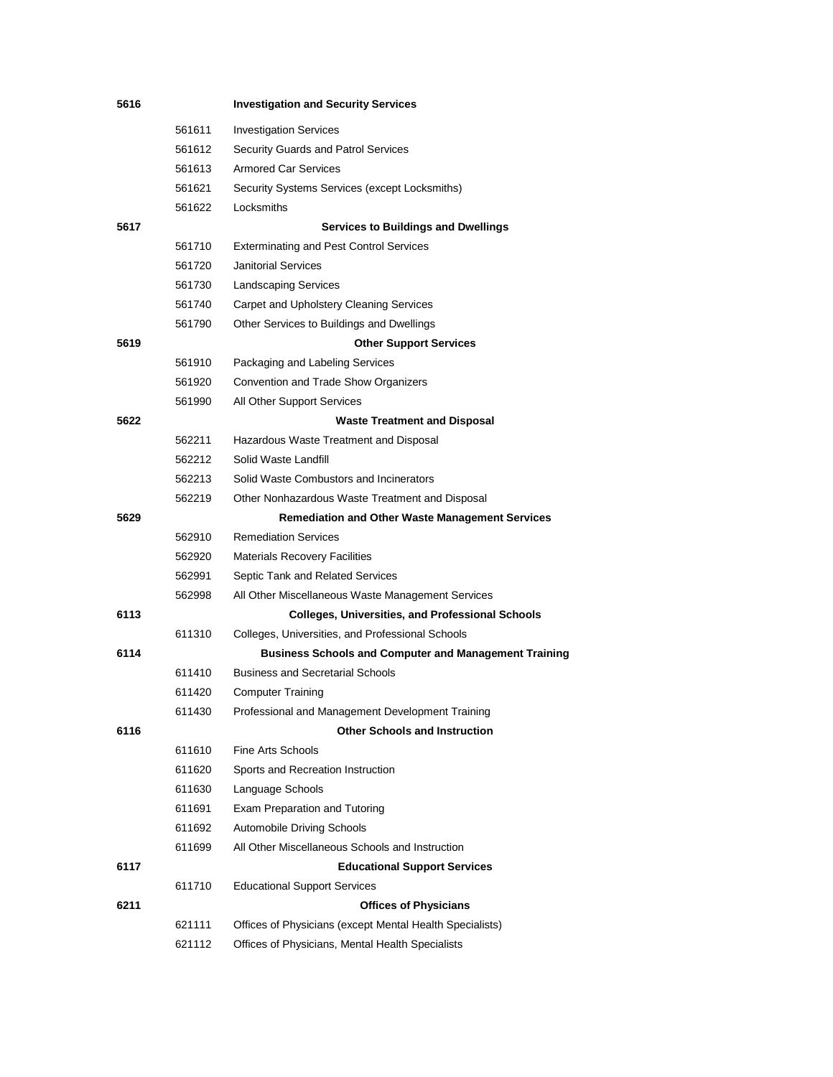| 5616 |        | <b>Investigation and Security Services</b>                   |
|------|--------|--------------------------------------------------------------|
|      | 561611 | <b>Investigation Services</b>                                |
|      | 561612 | Security Guards and Patrol Services                          |
|      | 561613 | <b>Armored Car Services</b>                                  |
|      | 561621 | Security Systems Services (except Locksmiths)                |
|      | 561622 | Locksmiths                                                   |
| 5617 |        | <b>Services to Buildings and Dwellings</b>                   |
|      | 561710 | <b>Exterminating and Pest Control Services</b>               |
|      | 561720 | <b>Janitorial Services</b>                                   |
|      | 561730 | <b>Landscaping Services</b>                                  |
|      | 561740 | Carpet and Upholstery Cleaning Services                      |
|      | 561790 | Other Services to Buildings and Dwellings                    |
| 5619 |        | <b>Other Support Services</b>                                |
|      | 561910 | Packaging and Labeling Services                              |
|      | 561920 | Convention and Trade Show Organizers                         |
|      | 561990 | All Other Support Services                                   |
| 5622 |        | <b>Waste Treatment and Disposal</b>                          |
|      | 562211 | Hazardous Waste Treatment and Disposal                       |
|      | 562212 | Solid Waste Landfill                                         |
|      | 562213 | Solid Waste Combustors and Incinerators                      |
|      | 562219 | Other Nonhazardous Waste Treatment and Disposal              |
| 5629 |        | <b>Remediation and Other Waste Management Services</b>       |
|      | 562910 | <b>Remediation Services</b>                                  |
|      | 562920 | <b>Materials Recovery Facilities</b>                         |
|      | 562991 | Septic Tank and Related Services                             |
|      | 562998 | All Other Miscellaneous Waste Management Services            |
| 6113 |        | <b>Colleges, Universities, and Professional Schools</b>      |
|      | 611310 | Colleges, Universities, and Professional Schools             |
| 6114 |        | <b>Business Schools and Computer and Management Training</b> |
|      | 611410 | <b>Business and Secretarial Schools</b>                      |
|      | 611420 | <b>Computer Training</b>                                     |
|      | 611430 | Professional and Management Development Training             |
| 6116 |        | <b>Other Schools and Instruction</b>                         |
|      | 611610 | Fine Arts Schools                                            |
|      | 611620 | Sports and Recreation Instruction                            |
|      | 611630 | Language Schools                                             |
|      | 611691 | Exam Preparation and Tutoring                                |
|      | 611692 | Automobile Driving Schools                                   |
|      | 611699 | All Other Miscellaneous Schools and Instruction              |
| 6117 |        | <b>Educational Support Services</b>                          |
|      | 611710 | <b>Educational Support Services</b>                          |
| 6211 |        | <b>Offices of Physicians</b>                                 |
|      | 621111 | Offices of Physicians (except Mental Health Specialists)     |
|      | 621112 | Offices of Physicians, Mental Health Specialists             |
|      |        |                                                              |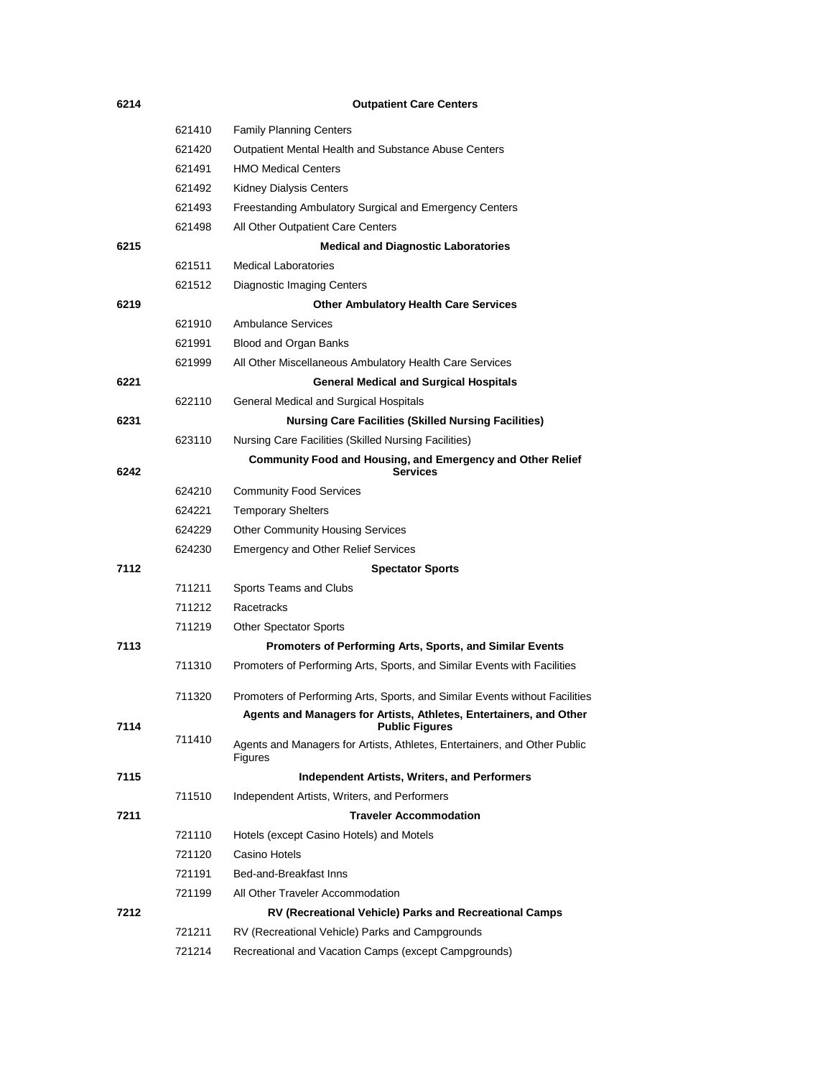| 6214 |        | <b>Outpatient Care Centers</b>                                                              |
|------|--------|---------------------------------------------------------------------------------------------|
|      | 621410 | <b>Family Planning Centers</b>                                                              |
|      | 621420 | <b>Outpatient Mental Health and Substance Abuse Centers</b>                                 |
|      | 621491 | <b>HMO Medical Centers</b>                                                                  |
|      | 621492 | Kidney Dialysis Centers                                                                     |
|      | 621493 | Freestanding Ambulatory Surgical and Emergency Centers                                      |
|      | 621498 | All Other Outpatient Care Centers                                                           |
| 6215 |        | <b>Medical and Diagnostic Laboratories</b>                                                  |
|      | 621511 | <b>Medical Laboratories</b>                                                                 |
|      | 621512 | Diagnostic Imaging Centers                                                                  |
| 6219 |        | <b>Other Ambulatory Health Care Services</b>                                                |
|      | 621910 | <b>Ambulance Services</b>                                                                   |
|      | 621991 | Blood and Organ Banks                                                                       |
|      | 621999 | All Other Miscellaneous Ambulatory Health Care Services                                     |
| 6221 |        | <b>General Medical and Surgical Hospitals</b>                                               |
|      | 622110 | General Medical and Surgical Hospitals                                                      |
| 6231 |        | <b>Nursing Care Facilities (Skilled Nursing Facilities)</b>                                 |
|      | 623110 | Nursing Care Facilities (Skilled Nursing Facilities)                                        |
| 6242 |        | <b>Community Food and Housing, and Emergency and Other Relief</b><br><b>Services</b>        |
|      | 624210 | <b>Community Food Services</b>                                                              |
|      | 624221 | <b>Temporary Shelters</b>                                                                   |
|      | 624229 | <b>Other Community Housing Services</b>                                                     |
|      | 624230 | <b>Emergency and Other Relief Services</b>                                                  |
| 7112 |        | <b>Spectator Sports</b>                                                                     |
|      | 711211 | Sports Teams and Clubs                                                                      |
|      | 711212 | Racetracks                                                                                  |
|      | 711219 | <b>Other Spectator Sports</b>                                                               |
| 7113 |        | Promoters of Performing Arts, Sports, and Similar Events                                    |
|      | 711310 | Promoters of Performing Arts, Sports, and Similar Events with Facilities                    |
|      | 711320 | Promoters of Performing Arts, Sports, and Similar Events without Facilities                 |
| 7114 |        | Agents and Managers for Artists, Athletes, Entertainers, and Other<br><b>Public Figures</b> |
|      | 711410 | Agents and Managers for Artists, Athletes, Entertainers, and Other Public<br>Figures        |
| 7115 |        | <b>Independent Artists, Writers, and Performers</b>                                         |
|      | 711510 | Independent Artists, Writers, and Performers                                                |
| 7211 |        | <b>Traveler Accommodation</b>                                                               |
|      | 721110 | Hotels (except Casino Hotels) and Motels                                                    |
|      | 721120 | Casino Hotels                                                                               |
|      | 721191 | Bed-and-Breakfast Inns                                                                      |
|      | 721199 | All Other Traveler Accommodation                                                            |
| 7212 |        | RV (Recreational Vehicle) Parks and Recreational Camps                                      |
|      | 721211 | RV (Recreational Vehicle) Parks and Campgrounds                                             |
|      | 721214 | Recreational and Vacation Camps (except Campgrounds)                                        |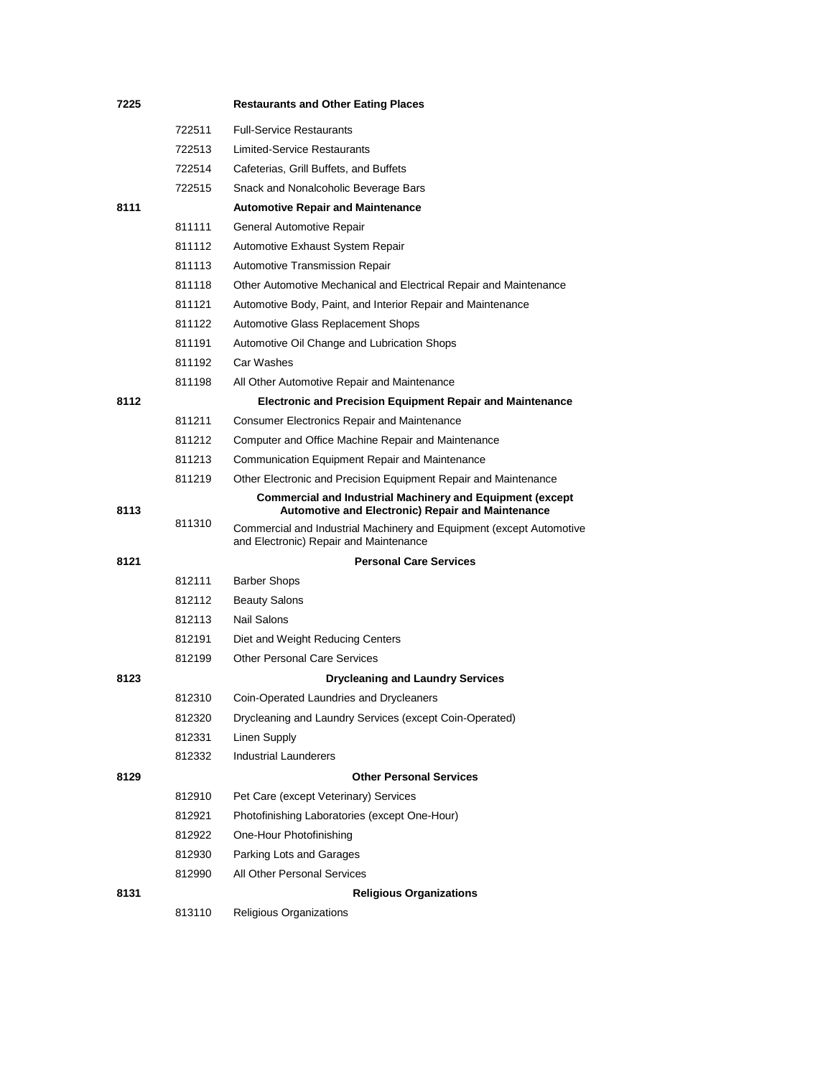| 7225 |        | <b>Restaurants and Other Eating Places</b>                                                                            |
|------|--------|-----------------------------------------------------------------------------------------------------------------------|
|      | 722511 | <b>Full-Service Restaurants</b>                                                                                       |
|      | 722513 | <b>Limited-Service Restaurants</b>                                                                                    |
|      | 722514 | Cafeterias, Grill Buffets, and Buffets                                                                                |
|      | 722515 | Snack and Nonalcoholic Beverage Bars                                                                                  |
| 8111 |        | <b>Automotive Repair and Maintenance</b>                                                                              |
|      | 811111 | General Automotive Repair                                                                                             |
|      | 811112 | Automotive Exhaust System Repair                                                                                      |
|      | 811113 | Automotive Transmission Repair                                                                                        |
|      | 811118 | Other Automotive Mechanical and Electrical Repair and Maintenance                                                     |
|      | 811121 | Automotive Body, Paint, and Interior Repair and Maintenance                                                           |
|      | 811122 | Automotive Glass Replacement Shops                                                                                    |
|      | 811191 | Automotive Oil Change and Lubrication Shops                                                                           |
|      | 811192 | Car Washes                                                                                                            |
|      | 811198 | All Other Automotive Repair and Maintenance                                                                           |
| 8112 |        | <b>Electronic and Precision Equipment Repair and Maintenance</b>                                                      |
|      | 811211 | <b>Consumer Electronics Repair and Maintenance</b>                                                                    |
|      | 811212 | Computer and Office Machine Repair and Maintenance                                                                    |
|      | 811213 | Communication Equipment Repair and Maintenance                                                                        |
|      | 811219 | Other Electronic and Precision Equipment Repair and Maintenance                                                       |
| 8113 |        | <b>Commercial and Industrial Machinery and Equipment (except</b><br>Automotive and Electronic) Repair and Maintenance |
|      | 811310 | Commercial and Industrial Machinery and Equipment (except Automotive<br>and Electronic) Repair and Maintenance        |
| 8121 |        | <b>Personal Care Services</b>                                                                                         |
|      | 812111 | <b>Barber Shops</b>                                                                                                   |
|      | 812112 | <b>Beauty Salons</b>                                                                                                  |
|      | 812113 | Nail Salons                                                                                                           |
|      | 812191 | Diet and Weight Reducing Centers                                                                                      |
|      | 812199 | <b>Other Personal Care Services</b>                                                                                   |
| 8123 |        | <b>Drycleaning and Laundry Services</b>                                                                               |
|      | 812310 | Coin-Operated Laundries and Drycleaners                                                                               |
|      | 812320 | Drycleaning and Laundry Services (except Coin-Operated)                                                               |
|      | 812331 | Linen Supply                                                                                                          |
|      | 812332 | <b>Industrial Launderers</b>                                                                                          |
| 8129 |        | <b>Other Personal Services</b>                                                                                        |
|      | 812910 | Pet Care (except Veterinary) Services                                                                                 |
|      | 812921 | Photofinishing Laboratories (except One-Hour)                                                                         |
|      | 812922 | One-Hour Photofinishing                                                                                               |
|      | 812930 | Parking Lots and Garages                                                                                              |
|      | 812990 | All Other Personal Services                                                                                           |
| 8131 |        | <b>Religious Organizations</b>                                                                                        |
|      | 813110 | Religious Organizations                                                                                               |